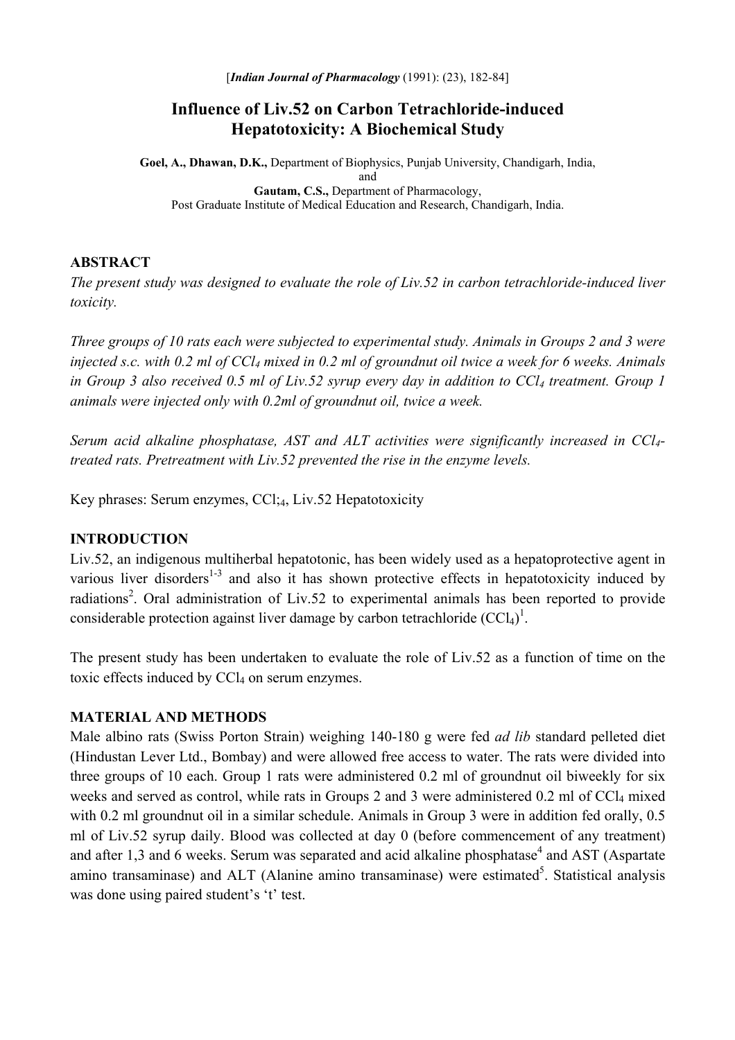# **Influence of Liv.52 on Carbon Tetrachloride-induced Hepatotoxicity: A Biochemical Study**

**Goel, A., Dhawan, D.K.,** Department of Biophysics, Punjab University, Chandigarh, India, and **Gautam, C.S.,** Department of Pharmacology, Post Graduate Institute of Medical Education and Research, Chandigarh, India.

### **ABSTRACT**

*The present study was designed to evaluate the role of Liv.52 in carbon tetrachloride-induced liver toxicity.* 

*Three groups of 10 rats each were subjected to experimental study. Animals in Groups 2 and 3 were injected s.c. with 0.2 ml of CCl4 mixed in 0.2 ml of groundnut oil twice a week for 6 weeks. Animals*  in Group 3 also received 0.5 ml of Liv.52 syrup every day in addition to CCl<sub>4</sub> treatment. Group 1 *animals were injected only with 0.2ml of groundnut oil, twice a week.* 

*Serum acid alkaline phosphatase, AST and ALT activities were significantly increased in CCl4 treated rats. Pretreatment with Liv.52 prevented the rise in the enzyme levels.* 

Key phrases: Serum enzymes, CCl;4, Liv.52 Hepatotoxicity

### **INTRODUCTION**

Liv.52, an indigenous multiherbal hepatotonic, has been widely used as a hepatoprotective agent in various liver disorders<sup>1-3</sup> and also it has shown protective effects in hepatotoxicity induced by radiations<sup>2</sup>. Oral administration of Liv.52 to experimental animals has been reported to provide considerable protection against liver damage by carbon tetrachloride  $(CCl<sub>4</sub>)<sup>1</sup>$ .

The present study has been undertaken to evaluate the role of Liv.52 as a function of time on the toxic effects induced by  $CCl<sub>4</sub>$  on serum enzymes.

#### **MATERIAL AND METHODS**

Male albino rats (Swiss Porton Strain) weighing 140-180 g were fed *ad lib* standard pelleted diet (Hindustan Lever Ltd., Bombay) and were allowed free access to water. The rats were divided into three groups of 10 each. Group 1 rats were administered 0.2 ml of groundnut oil biweekly for six weeks and served as control, while rats in Groups 2 and 3 were administered 0.2 ml of CCl<sub>4</sub> mixed with 0.2 ml groundnut oil in a similar schedule. Animals in Group 3 were in addition fed orally, 0.5 ml of Liv.52 syrup daily. Blood was collected at day 0 (before commencement of any treatment) and after 1,3 and 6 weeks. Serum was separated and acid alkaline phosphatase<sup>4</sup> and AST (Aspartate amino transaminase) and ALT (Alanine amino transaminase) were estimated<sup>5</sup>. Statistical analysis was done using paired student's 't' test.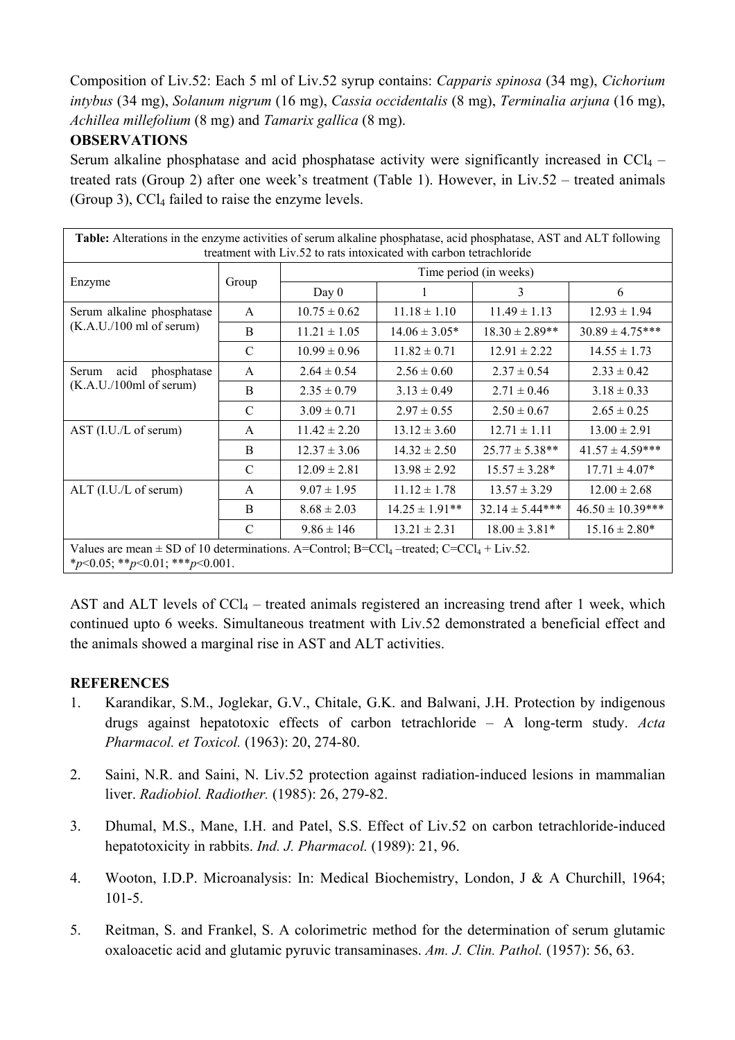Composition of Liv.52: Each 5 ml of Liv.52 syrup contains: *Capparis spinosa* (34 mg), *Cichorium intybus* (34 mg), *Solanum nigrum* (16 mg), *Cassia occidentalis* (8 mg), *Terminalia arjuna* (16 mg), *Achillea millefolium* (8 mg) and *Tamarix gallica* (8 mg).

## **OBSERVATIONS**

Serum alkaline phosphatase and acid phosphatase activity were significantly increased in  $CCl_4$  – treated rats (Group 2) after one week's treatment (Table 1). However, in Liv.52 – treated animals (Group 3),  $CCI<sub>4</sub>$  failed to raise the enzyme levels.

| Table: Alterations in the enzyme activities of serum alkaline phosphatase, acid phosphatase, AST and ALT following<br>treatment with Liv.52 to rats intoxicated with carbon tetrachloride |               |                        |                    |                     |                      |
|-------------------------------------------------------------------------------------------------------------------------------------------------------------------------------------------|---------------|------------------------|--------------------|---------------------|----------------------|
| Enzyme                                                                                                                                                                                    | Group         | Time period (in weeks) |                    |                     |                      |
|                                                                                                                                                                                           |               | Day $0$                |                    | 3                   | 6                    |
| Serum alkaline phosphatase<br>(K.A.U./100 ml of serum)                                                                                                                                    | $\mathsf{A}$  | $10.75 \pm 0.62$       | $11.18 \pm 1.10$   | $11.49 \pm 1.13$    | $12.93 \pm 1.94$     |
|                                                                                                                                                                                           | B             | $11.21 \pm 1.05$       | $14.06 \pm 3.05*$  | $18.30 \pm 2.89**$  | $30.89 \pm 4.75***$  |
|                                                                                                                                                                                           | $\mathcal{C}$ | $10.99 \pm 0.96$       | $11.82 \pm 0.71$   | $12.91 \pm 2.22$    | $14.55 \pm 1.73$     |
| Serum<br>acid<br>phosphatase<br>(K.A.U./100ml of serum)                                                                                                                                   | A             | $2.64 \pm 0.54$        | $2.56 \pm 0.60$    | $2.37 \pm 0.54$     | $2.33 \pm 0.42$      |
|                                                                                                                                                                                           | B             | $2.35 \pm 0.79$        | $3.13 \pm 0.49$    | $2.71 \pm 0.46$     | $3.18 \pm 0.33$      |
|                                                                                                                                                                                           | $\mathcal{C}$ | $3.09 \pm 0.71$        | $2.97 \pm 0.55$    | $2.50 \pm 0.67$     | $2.65 \pm 0.25$      |
| AST (I.U./L of serum)                                                                                                                                                                     | $\mathsf{A}$  | $11.42 \pm 2.20$       | $13.12 \pm 3.60$   | $12.71 \pm 1.11$    | $13.00 \pm 2.91$     |
|                                                                                                                                                                                           | B             | $12.37 \pm 3.06$       | $14.32 \pm 2.50$   | $25.77 \pm 5.38**$  | $41.57 \pm 4.59$ *** |
|                                                                                                                                                                                           | $\mathcal{C}$ | $12.09 \pm 2.81$       | $13.98 \pm 2.92$   | $15.57 \pm 3.28*$   | $17.71 \pm 4.07*$    |
| $ALT$ (I.U./L of serum)                                                                                                                                                                   | A             | $9.07 \pm 1.95$        | $11.12 \pm 1.78$   | $13.57 \pm 3.29$    | $12.00 \pm 2.68$     |
|                                                                                                                                                                                           | B             | $8.68 \pm 2.03$        | $14.25 \pm 1.91**$ | $32.14 \pm 5.44***$ | $46.50 \pm 10.39***$ |
|                                                                                                                                                                                           | $\mathcal{C}$ | $9.86 \pm 146$         | $13.21 \pm 2.31$   | $18.00 \pm 3.81*$   | $15.16 \pm 2.80*$    |
| Values are mean $\pm$ SD of 10 determinations. A=Control; B=CCl <sub>4</sub> -treated; C=CCl <sub>4</sub> + Liv.52.<br>* $p<0.05;$ ** $p<0.01;$ *** $p<0.001$ .                           |               |                        |                    |                     |                      |

AST and ALT levels of  $CCl_4$  – treated animals registered an increasing trend after 1 week, which continued upto 6 weeks. Simultaneous treatment with Liv.52 demonstrated a beneficial effect and the animals showed a marginal rise in AST and ALT activities.

### **REFERENCES**

- 1. Karandikar, S.M., Joglekar, G.V., Chitale, G.K. and Balwani, J.H. Protection by indigenous drugs against hepatotoxic effects of carbon tetrachloride – A long-term study. *Acta Pharmacol. et Toxicol.* (1963): 20, 274-80.
- 2. Saini, N.R. and Saini, N. Liv.52 protection against radiation-induced lesions in mammalian liver. *Radiobiol. Radiother.* (1985): 26, 279-82.
- 3. Dhumal, M.S., Mane, I.H. and Patel, S.S. Effect of Liv.52 on carbon tetrachloride-induced hepatotoxicity in rabbits. *Ind. J. Pharmacol.* (1989): 21, 96.
- 4. Wooton, I.D.P. Microanalysis: In: Medical Biochemistry, London, J & A Churchill, 1964;  $101 - 5$ .
- 5. Reitman, S. and Frankel, S. A colorimetric method for the determination of serum glutamic oxaloacetic acid and glutamic pyruvic transaminases. *Am. J. Clin. Pathol.* (1957): 56, 63.